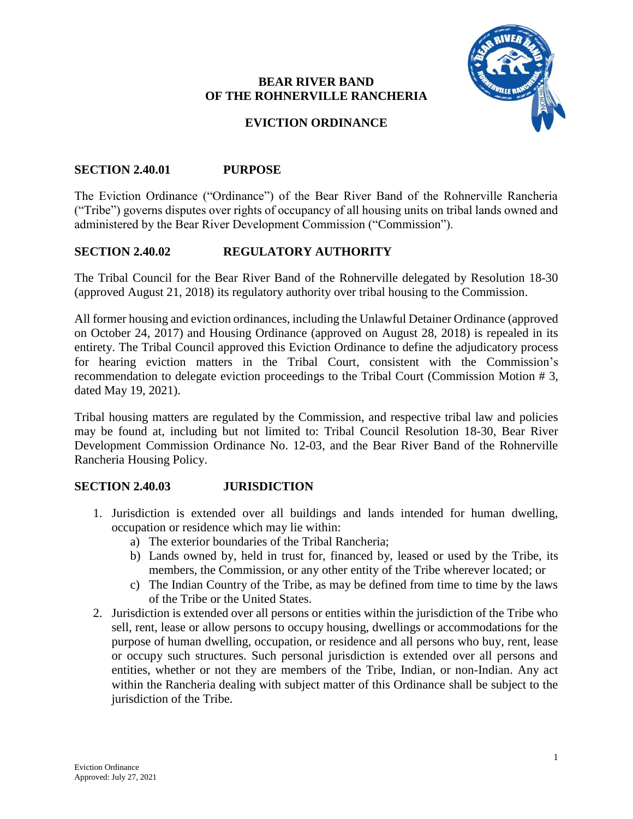### **BEAR RIVER BAND** OF THE ROHNERVILLE RANCHERIA



## **EVICTION ORDINANCE**

#### **SECTION 2.40.01 PURPOSE**

The Eviction Ordinance ("Ordinance") of the Bear River Band of the Rohnerville Rancheria ("Tribe") governs disputes over rights of occupancy of all housing units on tribal lands owned and administered by the Bear River Development Commission ("Commission").

#### **SECTION 2.40.02** REGULATORY AUTHORITY

The Tribal Council for the Bear River Band of the Rohnerville delegated by Resolution 18-30 (approved August 21, 2018) its regulatory authority over tribal housing to the Commission.

All former housing and eviction ordinances, including the Unlawful Detainer Ordinance (approved on October 24, 2017) and Housing Ordinance (approved on August 28, 2018) is repealed in its entirety. The Tribal Council approved this Eviction Ordinance to define the adjudicatory process for hearing eviction matters in the Tribal Court, consistent with the Commission's recommendation to delegate eviction proceedings to the Tribal Court (Commission Motion #3, dated May 19, 2021).

Tribal housing matters are regulated by the Commission, and respective tribal law and policies may be found at, including but not limited to: Tribal Council Resolution 18-30, Bear River Development Commission Ordinance No. 12-03, and the Bear River Band of the Rohnerville Rancheria Housing Policy.

#### **SECTION 2.40.03 JURISDICTION**

- 1. Jurisdiction is extended over all buildings and lands intended for human dwelling, occupation or residence which may lie within:
	- a) The exterior boundaries of the Tribal Rancheria:
	- b) Lands owned by, held in trust for, financed by, leased or used by the Tribe, its members, the Commission, or any other entity of the Tribe wherever located; or
	- c) The Indian Country of the Tribe, as may be defined from time to time by the laws of the Tribe or the United States.
- 2. Jurisdiction is extended over all persons or entities within the jurisdiction of the Tribe who sell, rent, lease or allow persons to occupy housing, dwellings or accommodations for the purpose of human dwelling, occupation, or residence and all persons who buy, rent, lease or occupy such structures. Such personal jurisdiction is extended over all persons and entities, whether or not they are members of the Tribe, Indian, or non-Indian. Any act within the Rancheria dealing with subject matter of this Ordinance shall be subject to the jurisdiction of the Tribe.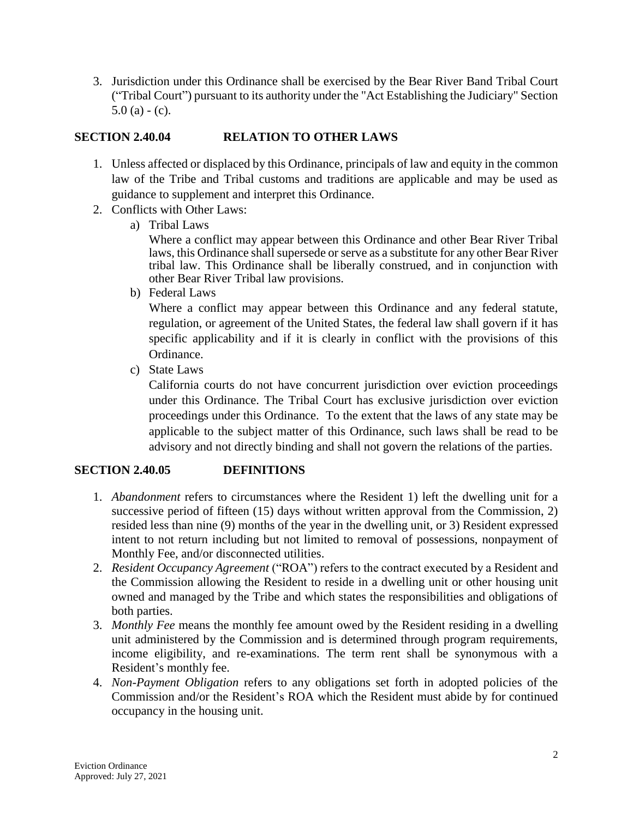3. Jurisdiction under this Ordinance shall be exercised by the Bear River Band Tribal Court ("Tribal Court") pursuant to its authority under the "Act Establishing the Judiciary" Section  $5.0$  (a) - (c).

#### **RELATION TO OTHER LAWS SECTION 2.40.04**

- 1. Unless affected or displaced by this Ordinance, principals of law and equity in the common law of the Tribe and Tribal customs and traditions are applicable and may be used as guidance to supplement and interpret this Ordinance.
- 2. Conflicts with Other Laws:
	- a) Tribal Laws

Where a conflict may appear between this Ordinance and other Bear River Tribal laws, this Ordinance shall supersede or serve as a substitute for any other Bear River tribal law. This Ordinance shall be liberally construed, and in conjunction with other Bear River Tribal law provisions.

b) Federal Laws

Where a conflict may appear between this Ordinance and any federal statute, regulation, or agreement of the United States, the federal law shall govern if it has specific applicability and if it is clearly in conflict with the provisions of this Ordinance.

c) State Laws

California courts do not have concurrent jurisdiction over eviction proceedings under this Ordinance. The Tribal Court has exclusive jurisdiction over eviction proceedings under this Ordinance. To the extent that the laws of any state may be applicable to the subject matter of this Ordinance, such laws shall be read to be advisory and not directly binding and shall not govern the relations of the parties.

#### **SECTION 2.40.05 DEFINITIONS**

- 1. *Abandonment* refers to circumstances where the Resident 1) left the dwelling unit for a successive period of fifteen (15) days without written approval from the Commission, 2) resided less than nine (9) months of the year in the dwelling unit, or 3) Resident expressed intent to not return including but not limited to removal of possessions, nonpayment of Monthly Fee, and/or disconnected utilities.
- 2. Resident Occupancy Agreement ("ROA") refers to the contract executed by a Resident and the Commission allowing the Resident to reside in a dwelling unit or other housing unit owned and managed by the Tribe and which states the responsibilities and obligations of both parties.
- 3. Monthly Fee means the monthly fee amount owed by the Resident residing in a dwelling unit administered by the Commission and is determined through program requirements, income eligibility, and re-examinations. The term rent shall be synonymous with a Resident's monthly fee.
- 4. Non-Payment Obligation refers to any obligations set forth in adopted policies of the Commission and/or the Resident's ROA which the Resident must abide by for continued occupancy in the housing unit.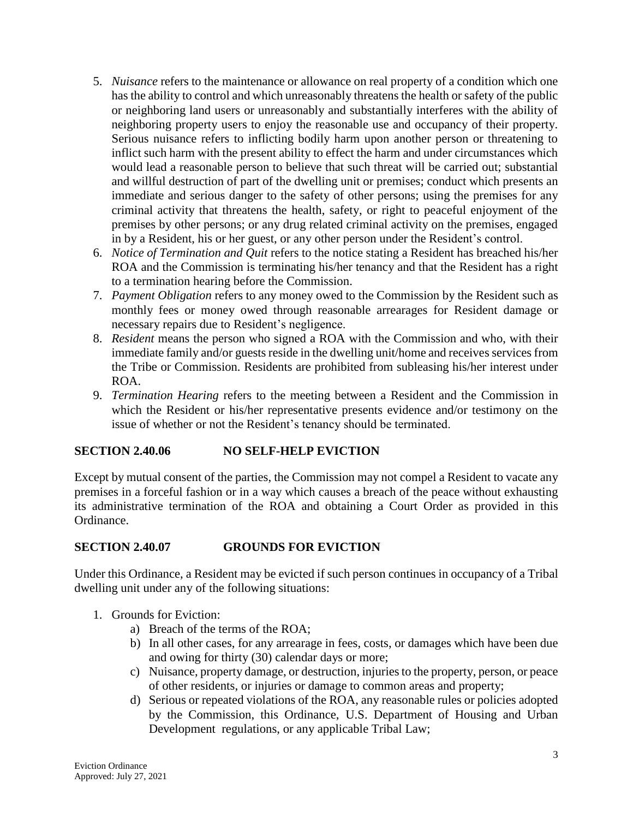- 5. Nuisance refers to the maintenance or allowance on real property of a condition which one has the ability to control and which unreasonably threatens the health or safety of the public or neighboring land users or unreasonably and substantially interferes with the ability of neighboring property users to enjoy the reasonable use and occupancy of their property. Serious nuisance refers to inflicting bodily harm upon another person or threatening to inflict such harm with the present ability to effect the harm and under circumstances which would lead a reasonable person to believe that such threat will be carried out; substantial and willful destruction of part of the dwelling unit or premises; conduct which presents an immediate and serious danger to the safety of other persons; using the premises for any criminal activity that threatens the health, safety, or right to peaceful enjoyment of the premises by other persons; or any drug related criminal activity on the premises, engaged in by a Resident, his or her guest, or any other person under the Resident's control.
- 6. *Notice of Termination and Quit* refers to the notice stating a Resident has breached his/her ROA and the Commission is terminating his/her tenancy and that the Resident has a right to a termination hearing before the Commission.
- 7. Payment Obligation refers to any money owed to the Commission by the Resident such as monthly fees or money owed through reasonable arrearages for Resident damage or necessary repairs due to Resident's negligence.
- 8. Resident means the person who signed a ROA with the Commission and who, with their immediate family and/or guests reside in the dwelling unit/home and receives services from the Tribe or Commission. Residents are prohibited from subleasing his/her interest under ROA.
- 9. Termination Hearing refers to the meeting between a Resident and the Commission in which the Resident or his/her representative presents evidence and/or testimony on the issue of whether or not the Resident's tenancy should be terminated.

#### **NO SELF-HELP EVICTION SECTION 2.40.06**

Except by mutual consent of the parties, the Commission may not compel a Resident to vacate any premises in a forceful fashion or in a way which causes a breach of the peace without exhausting its administrative termination of the ROA and obtaining a Court Order as provided in this Ordinance

#### **SECTION 2.40.07 GROUNDS FOR EVICTION**

Under this Ordinance, a Resident may be evicted if such person continues in occupancy of a Tribal dwelling unit under any of the following situations:

- 1. Grounds for Eviction:
	- a) Breach of the terms of the ROA;
	- b) In all other cases, for any arrearage in fees, costs, or damages which have been due and owing for thirty (30) calendar days or more;
	- c) Nuisance, property damage, or destruction, injuries to the property, person, or peace of other residents, or injuries or damage to common areas and property;
	- d) Serious or repeated violations of the ROA, any reasonable rules or policies adopted by the Commission, this Ordinance, U.S. Department of Housing and Urban Development regulations, or any applicable Tribal Law;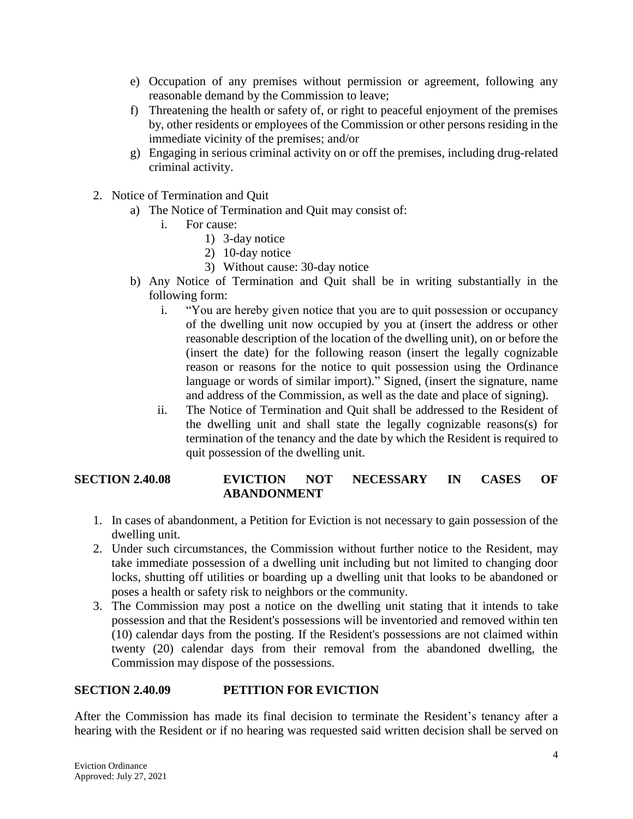- e) Occupation of any premises without permission or agreement, following any reasonable demand by the Commission to leave;
- f) Threatening the health or safety of, or right to peaceful enjoyment of the premises by, other residents or employees of the Commission or other persons residing in the immediate vicinity of the premises; and/or
- g) Engaging in serious criminal activity on or off the premises, including drug-related criminal activity.
- 2. Notice of Termination and Quit
	- a) The Notice of Termination and Quit may consist of:
		- For cause:  $\mathbf{i}$ 
			- 1) 3-day notice
			- 2) 10-day notice
			- 3) Without cause: 30-day notice
	- b) Any Notice of Termination and Quit shall be in writing substantially in the following form:
		- $\mathbf{i}$ . "You are hereby given notice that you are to quit possession or occupancy of the dwelling unit now occupied by you at (insert the address or other reasonable description of the location of the dwelling unit), on or before the (insert the date) for the following reason (insert the legally cognizable reason or reasons for the notice to quit possession using the Ordinance language or words of similar import)." Signed, (insert the signature, name and address of the Commission, as well as the date and place of signing).
		- The Notice of Termination and Quit shall be addressed to the Resident of ii. the dwelling unit and shall state the legally cognizable reasons(s) for termination of the tenancy and the date by which the Resident is required to quit possession of the dwelling unit.

#### **EVICTION NECESSARY**  $IN$ **SECTION 2.40.08 NOT CASES** OF **ABANDONMENT**

- 1. In cases of abandonment, a Petition for Eviction is not necessary to gain possession of the dwelling unit.
- 2. Under such circumstances, the Commission without further notice to the Resident, may take immediate possession of a dwelling unit including but not limited to changing door locks, shutting off utilities or boarding up a dwelling unit that looks to be abandoned or poses a health or safety risk to neighbors or the community.
- 3. The Commission may post a notice on the dwelling unit stating that it intends to take possession and that the Resident's possessions will be inventoried and removed within ten (10) calendar days from the posting. If the Resident's possessions are not claimed within twenty (20) calendar days from their removal from the abandoned dwelling, the Commission may dispose of the possessions.

#### **SECTION 2.40.09** PETITION FOR EVICTION

After the Commission has made its final decision to terminate the Resident's tenancy after a hearing with the Resident or if no hearing was requested said written decision shall be served on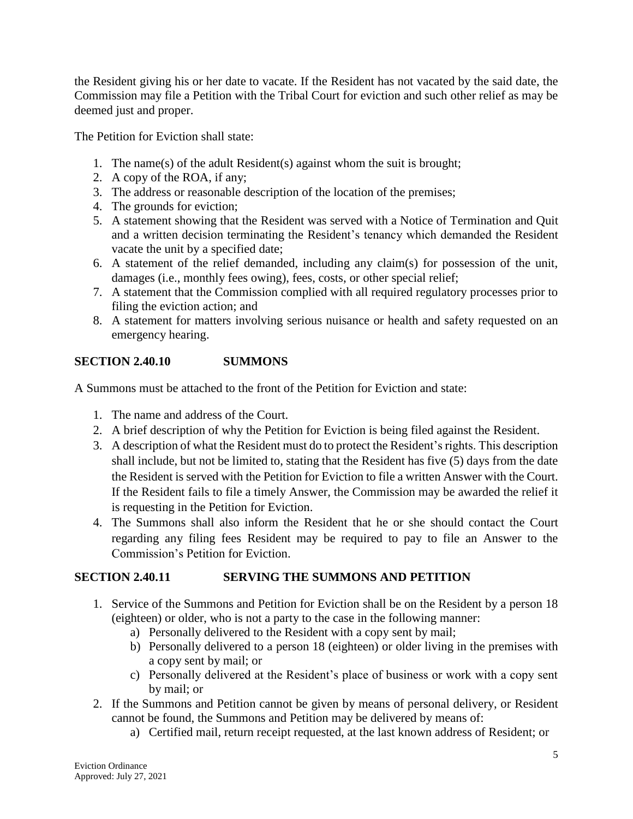the Resident giving his or her date to vacate. If the Resident has not vacated by the said date, the Commission may file a Petition with the Tribal Court for eviction and such other relief as may be deemed just and proper.

The Petition for Eviction shall state:

- 1. The name(s) of the adult Resident(s) against whom the suit is brought;
- 2. A copy of the ROA, if any;
- 3. The address or reasonable description of the location of the premises;
- 4. The grounds for eviction;
- 5. A statement showing that the Resident was served with a Notice of Termination and Quit and a written decision terminating the Resident's tenancy which demanded the Resident vacate the unit by a specified date;
- 6. A statement of the relief demanded, including any claim(s) for possession of the unit, damages (i.e., monthly fees owing), fees, costs, or other special relief;
- 7. A statement that the Commission complied with all required regulatory processes prior to filing the eviction action; and
- 8. A statement for matters involving serious nuisance or health and safety requested on an emergency hearing.

#### **SECTION 2.40.10 SUMMONS**

A Summons must be attached to the front of the Petition for Eviction and state:

- 1. The name and address of the Court.
- 2. A brief description of why the Petition for Eviction is being filed against the Resident.
- 3. A description of what the Resident must do to protect the Resident's rights. This description shall include, but not be limited to, stating that the Resident has five (5) days from the date the Resident is served with the Petition for Eviction to file a written Answer with the Court. If the Resident fails to file a timely Answer, the Commission may be awarded the relief it is requesting in the Petition for Eviction.
- 4. The Summons shall also inform the Resident that he or she should contact the Court regarding any filing fees Resident may be required to pay to file an Answer to the Commission's Petition for Eviction.

### **SECTION 2.40.11 SERVING THE SUMMONS AND PETITION**

- 1. Service of the Summons and Petition for Eviction shall be on the Resident by a person 18 (eighteen) or older, who is not a party to the case in the following manner:
	- a) Personally delivered to the Resident with a copy sent by mail;
	- b) Personally delivered to a person 18 (eighteen) or older living in the premises with a copy sent by mail; or
	- c) Personally delivered at the Resident's place of business or work with a copy sent by mail: or
- 2. If the Summons and Petition cannot be given by means of personal delivery, or Resident cannot be found, the Summons and Petition may be delivered by means of:
	- a) Certified mail, return receipt requested, at the last known address of Resident; or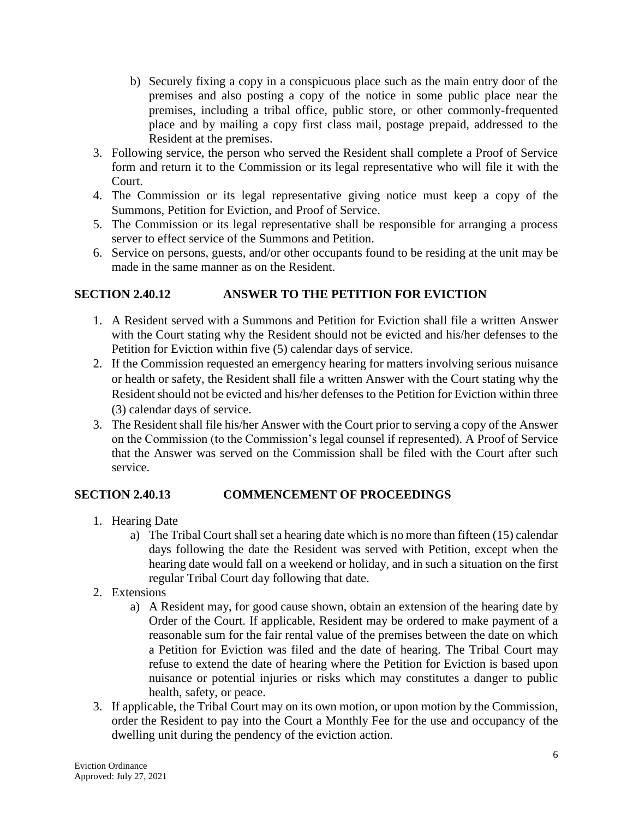- b) Securely fixing a copy in a conspicuous place such as the main entry door of the premises and also posting a copy of the notice in some public place near the premises, including a tribal office, public store, or other commonly-frequented place and by mailing a copy first class mail, postage prepaid, addressed to the Resident at the premises.
- 3. Following service, the person who served the Resident shall complete a Proof of Service form and return it to the Commission or its legal representative who will file it with the Court.
- 4. The Commission or its legal representative giving notice must keep a copy of the Summons, Petition for Eviction, and Proof of Service.
- 5. The Commission or its legal representative shall be responsible for arranging a process server to effect service of the Summons and Petition.
- 6. Service on persons, guests, and/or other occupants found to be residing at the unit may be made in the same manner as on the Resident.

### **SECTION 2.40.12** ANSWER TO THE PETITION FOR EVICTION

- 1. A Resident served with a Summons and Petition for Eviction shall file a written Answer with the Court stating why the Resident should not be evicted and his/her defenses to the Petition for Eviction within five (5) calendar days of service.
- 2. If the Commission requested an emergency hearing for matters involving serious nuisance or health or safety, the Resident shall file a written Answer with the Court stating why the Resident should not be evicted and his/her defenses to the Petition for Eviction within three (3) calendar days of service.
- 3. The Resident shall file his/her Answer with the Court prior to serving a copy of the Answer on the Commission (to the Commission's legal counsel if represented). A Proof of Service that the Answer was served on the Commission shall be filed with the Court after such service.

### **SECTION 2.40.13 COMMENCEMENT OF PROCEEDINGS**

- 1. Hearing Date
	- a) The Tribal Court shall set a hearing date which is no more than fifteen (15) calendar days following the date the Resident was served with Petition, except when the hearing date would fall on a weekend or holiday, and in such a situation on the first regular Tribal Court day following that date.
- 2. Extensions
	- a) A Resident may, for good cause shown, obtain an extension of the hearing date by Order of the Court. If applicable, Resident may be ordered to make payment of a reasonable sum for the fair rental value of the premises between the date on which a Petition for Eviction was filed and the date of hearing. The Tribal Court may refuse to extend the date of hearing where the Petition for Eviction is based upon nuisance or potential injuries or risks which may constitutes a danger to public health, safety, or peace.
- 3. If applicable, the Tribal Court may on its own motion, or upon motion by the Commission, order the Resident to pay into the Court a Monthly Fee for the use and occupancy of the dwelling unit during the pendency of the eviction action.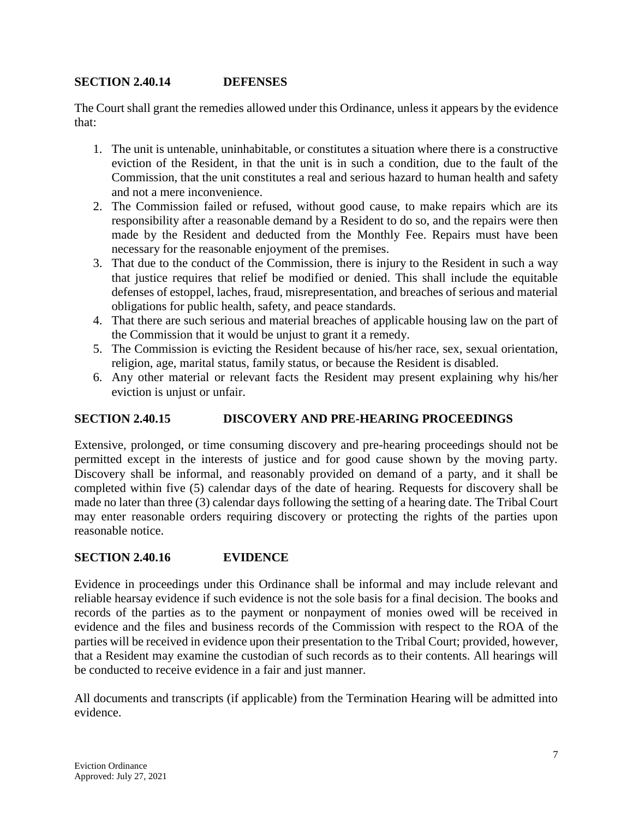#### **SECTION 2.40.14 DEFENSES**

The Court shall grant the remedies allowed under this Ordinance, unless it appears by the evidence that:

- 1. The unit is untenable, uninhabitable, or constitutes a situation where there is a constructive eviction of the Resident, in that the unit is in such a condition, due to the fault of the Commission, that the unit constitutes a real and serious hazard to human health and safety and not a mere inconvenience.
- 2. The Commission failed or refused, without good cause, to make repairs which are its responsibility after a reasonable demand by a Resident to do so, and the repairs were then made by the Resident and deducted from the Monthly Fee. Repairs must have been necessary for the reasonable enjoyment of the premises.
- 3. That due to the conduct of the Commission, there is injury to the Resident in such a way that justice requires that relief be modified or denied. This shall include the equitable defenses of estoppel, laches, fraud, misrepresentation, and breaches of serious and material obligations for public health, safety, and peace standards.
- 4. That there are such serious and material breaches of applicable housing law on the part of the Commission that it would be unjust to grant it a remedy.
- 5. The Commission is evicting the Resident because of his/her race, sex, sexual orientation, religion, age, marital status, family status, or because the Resident is disabled.
- 6. Any other material or relevant facts the Resident may present explaining why his/her eviction is unjust or unfair.

### **SECTION 2.40.15 DISCOVERY AND PRE-HEARING PROCEEDINGS**

Extensive, prolonged, or time consuming discovery and pre-hearing proceedings should not be permitted except in the interests of justice and for good cause shown by the moving party. Discovery shall be informal, and reasonably provided on demand of a party, and it shall be completed within five (5) calendar days of the date of hearing. Requests for discovery shall be made no later than three (3) calendar days following the setting of a hearing date. The Tribal Court may enter reasonable orders requiring discovery or protecting the rights of the parties upon reasonable notice.

#### **SECTION 2.40.16 EVIDENCE**

Evidence in proceedings under this Ordinance shall be informal and may include relevant and reliable hearsay evidence if such evidence is not the sole basis for a final decision. The books and records of the parties as to the payment or nonpayment of monies owed will be received in evidence and the files and business records of the Commission with respect to the ROA of the parties will be received in evidence upon their presentation to the Tribal Court; provided, however, that a Resident may examine the custodian of such records as to their contents. All hearings will be conducted to receive evidence in a fair and just manner.

All documents and transcripts (if applicable) from the Termination Hearing will be admitted into evidence.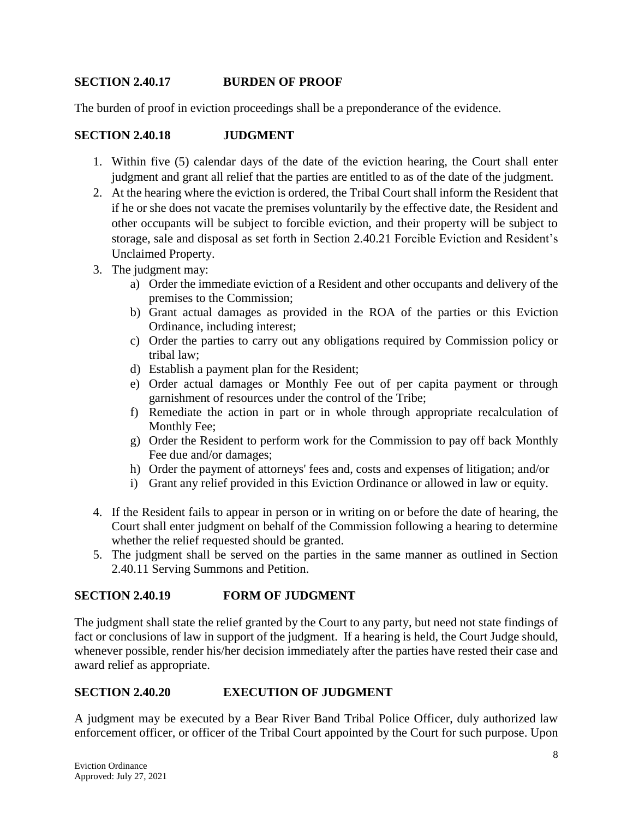#### **SECTION 2.40.17 BURDEN OF PROOF**

The burden of proof in eviction proceedings shall be a preponderance of the evidence.

#### **SECTION 2.40.18 JUDGMENT**

- 1. Within five (5) calendar days of the date of the eviction hearing, the Court shall enter judgment and grant all relief that the parties are entitled to as of the date of the judgment.
- 2. At the hearing where the eviction is ordered, the Tribal Court shall inform the Resident that if he or she does not vacate the premises voluntarily by the effective date, the Resident and other occupants will be subject to forcible eviction, and their property will be subject to storage, sale and disposal as set forth in Section 2.40.21 Forcible Eviction and Resident's **Unclaimed Property.**
- 3. The judgment may:
	- a) Order the immediate eviction of a Resident and other occupants and delivery of the premises to the Commission;
	- b) Grant actual damages as provided in the ROA of the parties or this Eviction Ordinance, including interest;
	- c) Order the parties to carry out any obligations required by Commission policy or tribal law:
	- d) Establish a payment plan for the Resident;
	- e) Order actual damages or Monthly Fee out of per capita payment or through garnishment of resources under the control of the Tribe;
	- f) Remediate the action in part or in whole through appropriate recalculation of Monthly Fee;
	- g) Order the Resident to perform work for the Commission to pay off back Monthly Fee due and/or damages;
	- h) Order the payment of attorneys' fees and, costs and expenses of litigation; and/or
	- i) Grant any relief provided in this Eviction Ordinance or allowed in law or equity.
- 4. If the Resident fails to appear in person or in writing on or before the date of hearing, the Court shall enter judgment on behalf of the Commission following a hearing to determine whether the relief requested should be granted.
- 5. The judgment shall be served on the parties in the same manner as outlined in Section 2.40.11 Serving Summons and Petition.

#### **SECTION 2.40.19 FORM OF JUDGMENT**

The judgment shall state the relief granted by the Court to any party, but need not state findings of fact or conclusions of law in support of the judgment. If a hearing is held, the Court Judge should, whenever possible, render his/her decision immediately after the parties have rested their case and award relief as appropriate.

#### **SECTION 2.40.20 EXECUTION OF JUDGMENT**

A judgment may be executed by a Bear River Band Tribal Police Officer, duly authorized law enforcement officer, or officer of the Tribal Court appointed by the Court for such purpose. Upon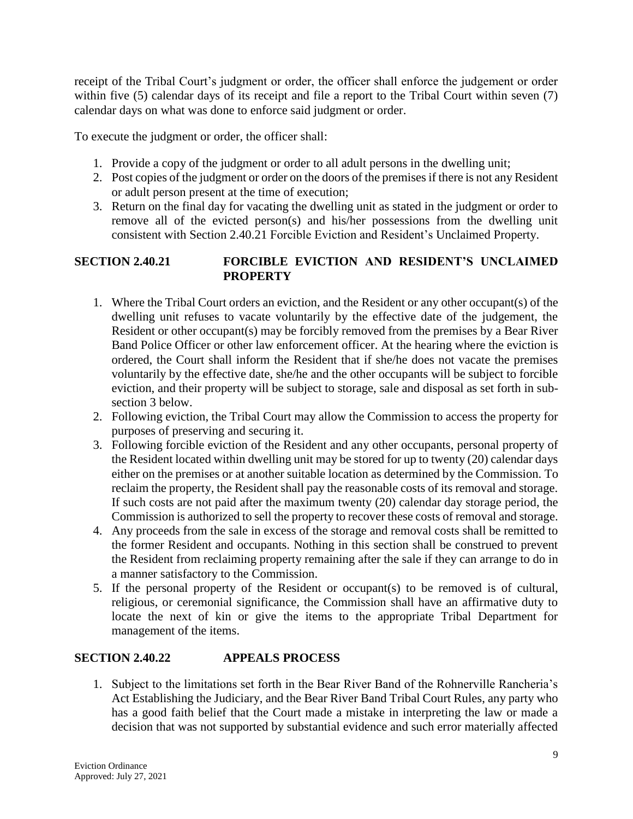receipt of the Tribal Court's judgment or order, the officer shall enforce the judgement or order within five (5) calendar days of its receipt and file a report to the Tribal Court within seven (7) calendar days on what was done to enforce said judgment or order.

To execute the judgment or order, the officer shall:

- 1. Provide a copy of the judgment or order to all adult persons in the dwelling unit;
- 2. Post copies of the judgment or order on the doors of the premises if there is not any Resident or adult person present at the time of execution;
- 3. Return on the final day for vacating the dwelling unit as stated in the judgment or order to remove all of the evicted person(s) and his/her possessions from the dwelling unit consistent with Section 2.40.21 Forcible Eviction and Resident's Unclaimed Property.

### FORCIBLE EVICTION AND RESIDENT'S UNCLAIMED **SECTION 2.40.21 PROPERTY**

- 1. Where the Tribal Court orders an eviction, and the Resident or any other occupant(s) of the dwelling unit refuses to vacate voluntarily by the effective date of the judgement, the Resident or other occupant(s) may be forcibly removed from the premises by a Bear River Band Police Officer or other law enforcement officer. At the hearing where the eviction is ordered, the Court shall inform the Resident that if she/he does not vacate the premises voluntarily by the effective date, she/he and the other occupants will be subject to forcible eviction, and their property will be subject to storage, sale and disposal as set forth in subsection 3 below.
- 2. Following eviction, the Tribal Court may allow the Commission to access the property for purposes of preserving and securing it.
- 3. Following forcible eviction of the Resident and any other occupants, personal property of the Resident located within dwelling unit may be stored for up to twenty (20) calendar days either on the premises or at another suitable location as determined by the Commission. To reclaim the property, the Resident shall pay the reasonable costs of its removal and storage. If such costs are not paid after the maximum twenty  $(20)$  calendar day storage period, the Commission is authorized to sell the property to recover these costs of removal and storage.
- 4. Any proceeds from the sale in excess of the storage and removal costs shall be remitted to the former Resident and occupants. Nothing in this section shall be construed to prevent the Resident from reclaiming property remaining after the sale if they can arrange to do in a manner satisfactory to the Commission.
- 5. If the personal property of the Resident or occupant(s) to be removed is of cultural, religious, or ceremonial significance, the Commission shall have an affirmative duty to locate the next of kin or give the items to the appropriate Tribal Department for management of the items.

#### **SECTION 2.40.22 APPEALS PROCESS**

1. Subject to the limitations set forth in the Bear River Band of the Rohnerville Rancheria's Act Establishing the Judiciary, and the Bear River Band Tribal Court Rules, any party who has a good faith belief that the Court made a mistake in interpreting the law or made a decision that was not supported by substantial evidence and such error materially affected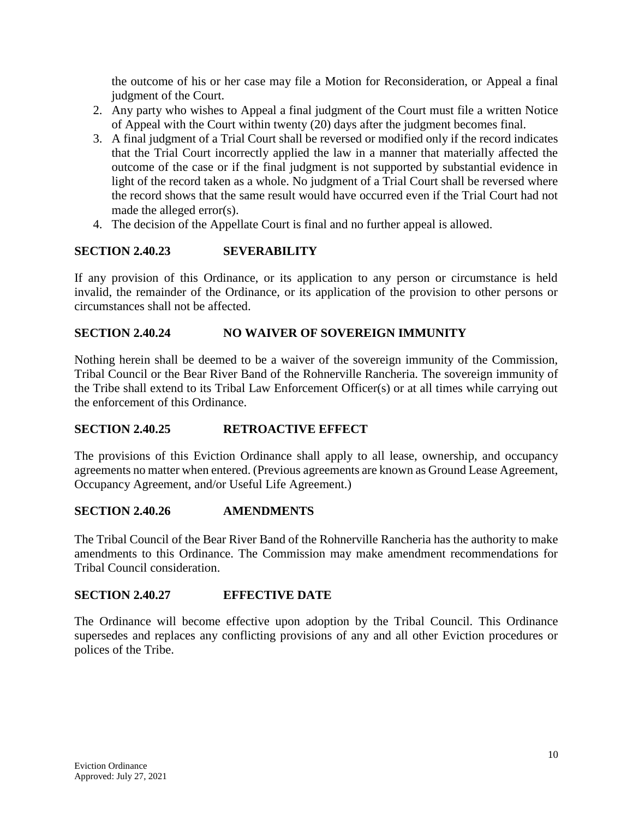the outcome of his or her case may file a Motion for Reconsideration, or Appeal a final judgment of the Court.

- 2. Any party who wishes to Appeal a final judgment of the Court must file a written Notice of Appeal with the Court within twenty (20) days after the judgment becomes final.
- 3. A final judgment of a Trial Court shall be reversed or modified only if the record indicates that the Trial Court incorrectly applied the law in a manner that materially affected the outcome of the case or if the final judgment is not supported by substantial evidence in light of the record taken as a whole. No judgment of a Trial Court shall be reversed where the record shows that the same result would have occurred even if the Trial Court had not made the alleged error(s).
- 4. The decision of the Appellate Court is final and no further appeal is allowed.

#### **SECTION 2.40.23 SEVERABILITY**

If any provision of this Ordinance, or its application to any person or circumstance is held invalid, the remainder of the Ordinance, or its application of the provision to other persons or circumstances shall not be affected.

#### **SECTION 2.40.24** NO WAIVER OF SOVEREIGN IMMUNITY

Nothing herein shall be deemed to be a waiver of the sovereign immunity of the Commission, Tribal Council or the Bear River Band of the Rohnerville Rancheria. The sovereign immunity of the Tribe shall extend to its Tribal Law Enforcement Officer(s) or at all times while carrying out the enforcement of this Ordinance.

#### **SECTION 2.40.25 RETROACTIVE EFFECT**

The provisions of this Eviction Ordinance shall apply to all lease, ownership, and occupancy agreements no matter when entered. (Previous agreements are known as Ground Lease Agreement, Occupancy Agreement, and/or Useful Life Agreement.)

#### **SECTION 2.40.26 AMENDMENTS**

The Tribal Council of the Bear River Band of the Rohnerville Rancheria has the authority to make amendments to this Ordinance. The Commission may make amendment recommendations for Tribal Council consideration.

#### **SECTION 2.40.27 EFFECTIVE DATE**

The Ordinance will become effective upon adoption by the Tribal Council. This Ordinance supersedes and replaces any conflicting provisions of any and all other Eviction procedures or polices of the Tribe.